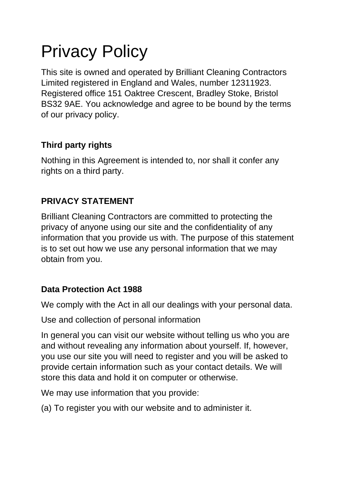# Privacy Policy

This site is owned and operated by Brilliant Cleaning Contractors Limited registered in England and Wales, number 12311923. Registered office 151 Oaktree Crescent, Bradley Stoke, Bristol BS32 9AE. You acknowledge and agree to be bound by the terms of our privacy policy.

## **Third party rights**

Nothing in this Agreement is intended to, nor shall it confer any rights on a third party.

## **PRIVACY STATEMENT**

Brilliant Cleaning Contractors are committed to protecting the privacy of anyone using our site and the confidentiality of any information that you provide us with. The purpose of this statement is to set out how we use any personal information that we may obtain from you.

## **Data Protection Act 1988**

We comply with the Act in all our dealings with your personal data.

Use and collection of personal information

In general you can visit our website without telling us who you are and without revealing any information about yourself. If, however, you use our site you will need to register and you will be asked to provide certain information such as your contact details. We will store this data and hold it on computer or otherwise.

We may use information that you provide:

(a) To register you with our website and to administer it.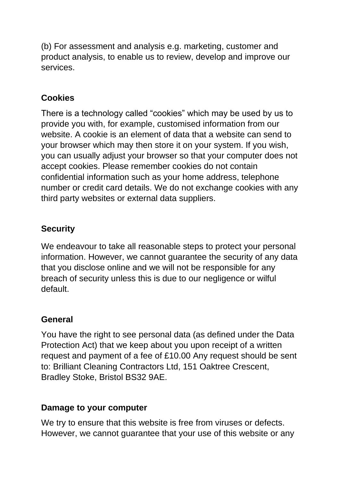(b) For assessment and analysis e.g. marketing, customer and product analysis, to enable us to review, develop and improve our services.

## **Cookies**

There is a technology called "cookies" which may be used by us to provide you with, for example, customised information from our website. A cookie is an element of data that a website can send to your browser which may then store it on your system. If you wish, you can usually adjust your browser so that your computer does not accept cookies. Please remember cookies do not contain confidential information such as your home address, telephone number or credit card details. We do not exchange cookies with any third party websites or external data suppliers.

## **Security**

We endeavour to take all reasonable steps to protect your personal information. However, we cannot guarantee the security of any data that you disclose online and we will not be responsible for any breach of security unless this is due to our negligence or wilful default.

## **General**

You have the right to see personal data (as defined under the Data Protection Act) that we keep about you upon receipt of a written request and payment of a fee of £10.00 Any request should be sent to: Brilliant Cleaning Contractors Ltd, 151 Oaktree Crescent, Bradley Stoke, Bristol BS32 9AE.

## **Damage to your computer**

We try to ensure that this website is free from viruses or defects. However, we cannot guarantee that your use of this website or any